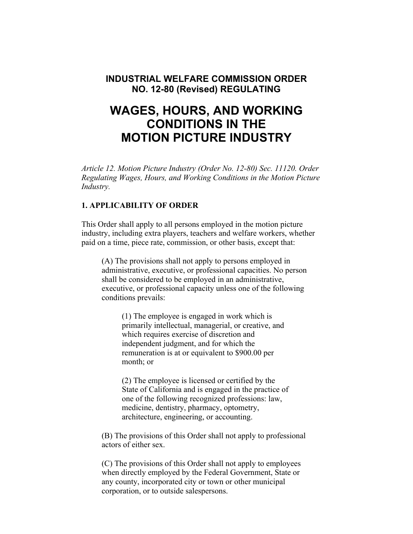**NO. 12-80 (Revised) REGULATING INDUSTRIAL WELFARE COMMISSION ORDER** 

# **WAGES, HOURS, AND WORKING CONDITIONS IN THE MOTION PICTURE INDUSTRY**

*Article 12. Motion Picture Industry (Order No. 12-80) Sec. 11120. Order Regulating Wages, Hours, and Working Conditions in the Motion Picture Industry.* 

# **1. APPLICABILITY OF ORDER**

This Order shall apply to all persons employed in the motion picture industry, including extra players, teachers and welfare workers, whether paid on a time, piece rate, commission, or other basis, except that:

(A) The provisions shall not apply to persons employed in administrative, executive, or professional capacities. No person shall be considered to be employed in an administrative, executive, or professional capacity unless one of the following conditions prevails:

(1) The employee is engaged in work which is primarily intellectual, managerial, or creative, and which requires exercise of discretion and independent judgment, and for which the remuneration is at or equivalent to \$900.00 per month; or

(2) The employee is licensed or certified by the State of California and is engaged in the practice of one of the following recognized professions: law, medicine, dentistry, pharmacy, optometry, architecture, engineering, or accounting.

(B) The provisions of this Order shall not apply to professional actors of either sex.

(C) The provisions of this Order shall not apply to employees when directly employed by the Federal Government, State or any county, incorporated city or town or other municipal corporation, or to outside salespersons.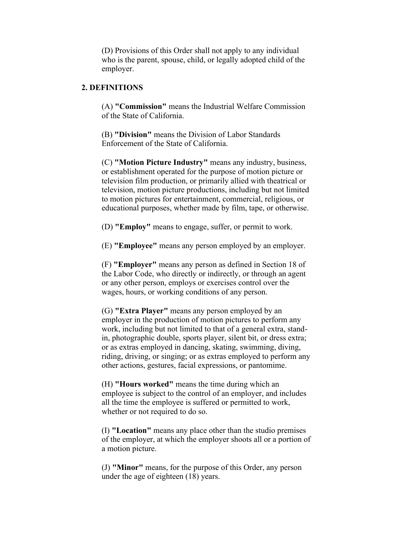(D) Provisions of this Order shall not apply to any individual who is the parent, spouse, child, or legally adopted child of the employer.

#### **2. DEFINITIONS**

(A) **"Commission"** means the Industrial Welfare Commission of the State of California.

(B) **"Division"** means the Division of Labor Standards Enforcement of the State of California.

(C) **"Motion Picture Industry"** means any industry, business, or establishment operated for the purpose of motion picture or television film production, or primarily allied with theatrical or television, motion picture productions, including but not limited to motion pictures for entertainment, commercial, religious, or educational purposes, whether made by film, tape, or otherwise.

(D) **"Employ"** means to engage, suffer, or permit to work.

(E) **"Employee"** means any person employed by an employer.

(F) **"Employer"** means any person as defined in Section 18 of the Labor Code, who directly or indirectly, or through an agent or any other person, employs or exercises control over the wages, hours, or working conditions of any person.

(G) **"Extra Player"** means any person employed by an employer in the production of motion pictures to perform any work, including but not limited to that of a general extra, standin, photographic double, sports player, silent bit, or dress extra; or as extras employed in dancing, skating, swimming, diving, riding, driving, or singing; or as extras employed to perform any other actions, gestures, facial expressions, or pantomime.

(H) **"Hours worked"** means the time during which an employee is subject to the control of an employer, and includes all the time the employee is suffered or permitted to work, whether or not required to do so.

(I) **"Location"** means any place other than the studio premises of the employer, at which the employer shoots all or a portion of a motion picture.

(J) **"Minor"** means, for the purpose of this Order, any person under the age of eighteen (18) years.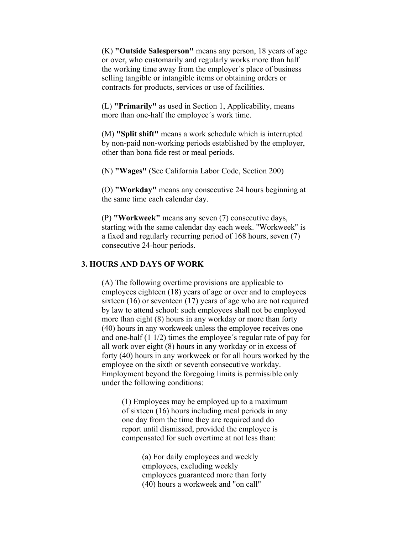(K) **"Outside Salesperson"** means any person, 18 years of age or over, who customarily and regularly works more than half the working time away from the employer´s place of business selling tangible or intangible items or obtaining orders or contracts for products, services or use of facilities.

(L) **"Primarily"** as used in Section 1, Applicability, means more than one-half the employee´s work time.

(M) **"Split shift"** means a work schedule which is interrupted by non-paid non-working periods established by the employer, other than bona fide rest or meal periods.

(N) **"Wages"** (See California Labor Code, Section 200)

(O) **"Workday"** means any consecutive 24 hours beginning at the same time each calendar day.

(P) **"Workweek"** means any seven (7) consecutive days, starting with the same calendar day each week. "Workweek" is a fixed and regularly recurring period of 168 hours, seven (7) consecutive 24-hour periods.

# **3. HOURS AND DAYS OF WORK**

(A) The following overtime provisions are applicable to employees eighteen (18) years of age or over and to employees sixteen (16) or seventeen (17) years of age who are not required by law to attend school: such employees shall not be employed more than eight (8) hours in any workday or more than forty (40) hours in any workweek unless the employee receives one and one-half (1 1/2) times the employee´s regular rate of pay for all work over eight (8) hours in any workday or in excess of forty (40) hours in any workweek or for all hours worked by the employee on the sixth or seventh consecutive workday. Employment beyond the foregoing limits is permissible only under the following conditions:

(1) Employees may be employed up to a maximum of sixteen (16) hours including meal periods in any one day from the time they are required and do report until dismissed, provided the employee is compensated for such overtime at not less than:

> (a) For daily employees and weekly employees, excluding weekly employees guaranteed more than forty (40) hours a workweek and "on call"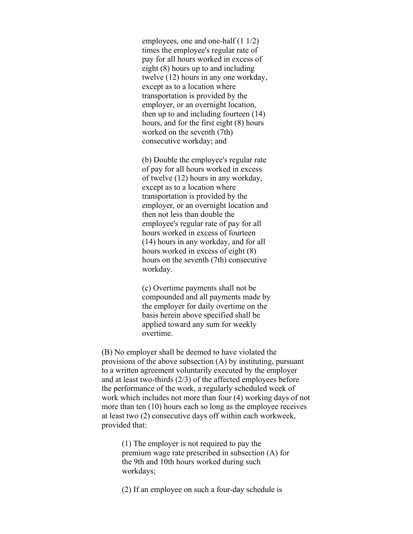employees, one and one-half (1 1/2) times the employee's regular rate of pay for all hours worked in excess of eight (8) hours up to and including twelve (12) hours in any one workday, except as to a location where transportation is provided by the employer, or an overnight location, then up to and including fourteen (14) hours, and for the first eight (8) hours worked on the seventh (7th) consecutive workday; and

(b) Double the employee's regular rate of pay for all hours worked in excess of twelve (12) hours in any workday, except as to a location where transportation is provided by the employer, or an overnight location and then not less than double the employee's regular rate of pay for all hours worked in excess of fourteen (14) hours in any workday, and for all hours worked in excess of eight (8) hours on the seventh (7th) consecutive workday.

(c) Overtime payments shall not be compounded and all payments made by the employer for daily overtime on the basis herein above specified shall be applied toward any sum for weekly overtime.

(B) No employer shall be deemed to have violated the provisions of the above subsection (A) by instituting, pursuant to a written agreement voluntarily executed by the employer and at least two-thirds (2/3) of the affected employees before the performance of the work, a regularly scheduled week of work which includes not more than four (4) working days of not more than ten (10) hours each so long as the employee receives at least two (2) consecutive days off within each workweek, provided that:

(1) The employer is not required to pay the premium wage rate prescribed in subsection (A) for the 9th and 10th hours worked during such workdays;

(2) If an employee on such a four-day schedule is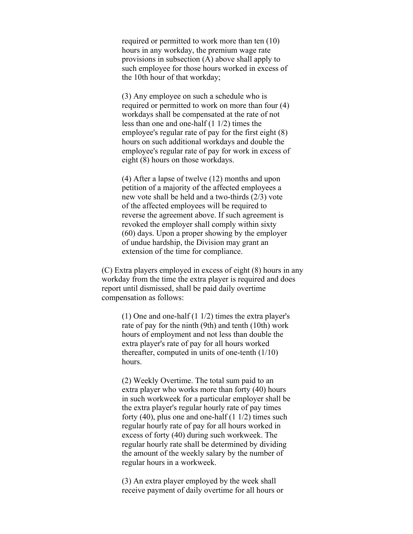required or permitted to work more than ten (10) hours in any workday, the premium wage rate provisions in subsection (A) above shall apply to such employee for those hours worked in excess of the 10th hour of that workday;

(3) Any employee on such a schedule who is required or permitted to work on more than four (4) workdays shall be compensated at the rate of not less than one and one-half (1 1/2) times the employee's regular rate of pay for the first eight (8) hours on such additional workdays and double the employee's regular rate of pay for work in excess of eight (8) hours on those workdays.

(4) After a lapse of twelve (12) months and upon petition of a majority of the affected employees a new vote shall be held and a two-thirds (2/3) vote of the affected employees will be required to reverse the agreement above. If such agreement is revoked the employer shall comply within sixty (60) days. Upon a proper showing by the employer of undue hardship, the Division may grant an extension of the time for compliance.

(C) Extra players employed in excess of eight (8) hours in any workday from the time the extra player is required and does report until dismissed, shall be paid daily overtime compensation as follows:

(1) One and one-half (1 1/2) times the extra player's rate of pay for the ninth (9th) and tenth (10th) work hours of employment and not less than double the extra player's rate of pay for all hours worked thereafter, computed in units of one-tenth (1/10) hours.

(2) Weekly Overtime. The total sum paid to an extra player who works more than forty (40) hours in such workweek for a particular employer shall be the extra player's regular hourly rate of pay times forty (40), plus one and one-half  $(1 \frac{1}{2})$  times such regular hourly rate of pay for all hours worked in excess of forty (40) during such workweek. The regular hourly rate shall be determined by dividing the amount of the weekly salary by the number of regular hours in a workweek.

(3) An extra player employed by the week shall receive payment of daily overtime for all hours or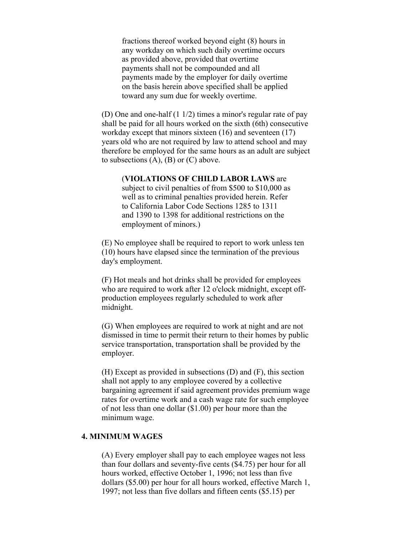fractions thereof worked beyond eight (8) hours in any workday on which such daily overtime occurs as provided above, provided that overtime payments shall not be compounded and all payments made by the employer for daily overtime on the basis herein above specified shall be applied toward any sum due for weekly overtime.

(D) One and one-half (1 1/2) times a minor's regular rate of pay shall be paid for all hours worked on the sixth (6th) consecutive workday except that minors sixteen (16) and seventeen (17) years old who are not required by law to attend school and may therefore be employed for the same hours as an adult are subject to subsections  $(A)$ ,  $(B)$  or  $(C)$  above.

# (**VIOLATIONS OF CHILD LABOR LAWS** are

subject to civil penalties of from \$500 to \$10,000 as well as to criminal penalties provided herein. Refer to California Labor Code Sections 1285 to 1311 and 1390 to 1398 for additional restrictions on the employment of minors.)

(E) No employee shall be required to report to work unless ten (10) hours have elapsed since the termination of the previous day's employment.

(F) Hot meals and hot drinks shall be provided for employees who are required to work after 12 o'clock midnight, except offproduction employees regularly scheduled to work after midnight.

(G) When employees are required to work at night and are not dismissed in time to permit their return to their homes by public service transportation, transportation shall be provided by the employer.

(H) Except as provided in subsections (D) and (F), this section shall not apply to any employee covered by a collective bargaining agreement if said agreement provides premium wage rates for overtime work and a cash wage rate for such employee of not less than one dollar (\$1.00) per hour more than the minimum wage.

## **4. MINIMUM WAGES**

(A) Every employer shall pay to each employee wages not less than four dollars and seventy-five cents (\$4.75) per hour for all hours worked, effective October 1, 1996; not less than five dollars (\$5.00) per hour for all hours worked, effective March 1, 1997; not less than five dollars and fifteen cents (\$5.15) per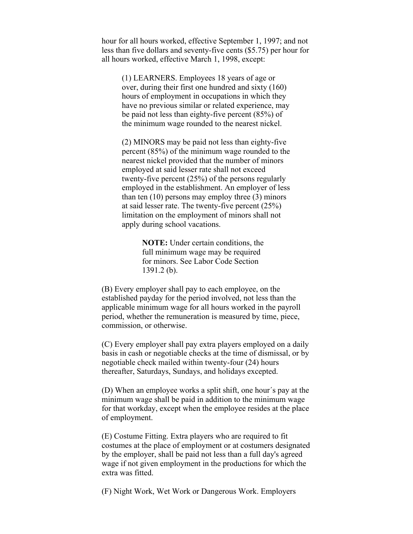hour for all hours worked, effective September 1, 1997; and not less than five dollars and seventy-five cents (\$5.75) per hour for all hours worked, effective March 1, 1998, except:

(1) LEARNERS. Employees 18 years of age or over, during their first one hundred and sixty (160) hours of employment in occupations in which they have no previous similar or related experience, may be paid not less than eighty-five percent (85%) of the minimum wage rounded to the nearest nickel.

(2) MINORS may be paid not less than eighty-five percent (85%) of the minimum wage rounded to the nearest nickel provided that the number of minors employed at said lesser rate shall not exceed twenty-five percent (25%) of the persons regularly employed in the establishment. An employer of less than ten  $(10)$  persons may employ three  $(3)$  minors at said lesser rate. The twenty-five percent (25%) limitation on the employment of minors shall not apply during school vacations.

> **NOTE:** Under certain conditions, the full minimum wage may be required for minors. See Labor Code Section 1391.2 (b).

(B) Every employer shall pay to each employee, on the established payday for the period involved, not less than the applicable minimum wage for all hours worked in the payroll period, whether the remuneration is measured by time, piece, commission, or otherwise.

(C) Every employer shall pay extra players employed on a daily basis in cash or negotiable checks at the time of dismissal, or by negotiable check mailed within twenty-four (24) hours thereafter, Saturdays, Sundays, and holidays excepted.

(D) When an employee works a split shift, one hour´s pay at the minimum wage shall be paid in addition to the minimum wage for that workday, except when the employee resides at the place of employment.

(E) Costume Fitting. Extra players who are required to fit costumes at the place of employment or at costumers designated by the employer, shall be paid not less than a full day's agreed wage if not given employment in the productions for which the extra was fitted.

(F) Night Work, Wet Work or Dangerous Work. Employers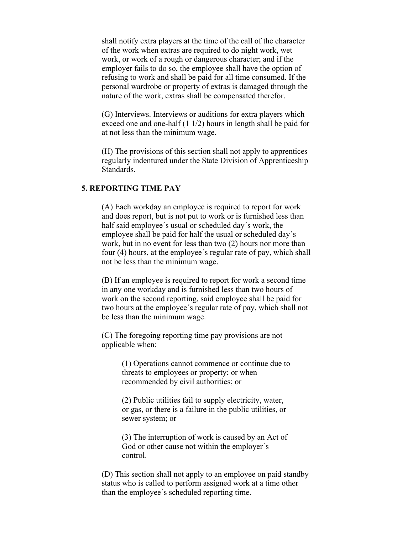shall notify extra players at the time of the call of the character of the work when extras are required to do night work, wet work, or work of a rough or dangerous character; and if the employer fails to do so, the employee shall have the option of refusing to work and shall be paid for all time consumed. If the personal wardrobe or property of extras is damaged through the nature of the work, extras shall be compensated therefor.

(G) Interviews. Interviews or auditions for extra players which exceed one and one-half (1 1/2) hours in length shall be paid for at not less than the minimum wage.

(H) The provisions of this section shall not apply to apprentices regularly indentured under the State Division of Apprenticeship Standards.

#### **5. REPORTING TIME PAY**

(A) Each workday an employee is required to report for work and does report, but is not put to work or is furnished less than half said employee´s usual or scheduled day´s work, the employee shall be paid for half the usual or scheduled day´s work, but in no event for less than two (2) hours nor more than four (4) hours, at the employee´s regular rate of pay, which shall not be less than the minimum wage.

(B) If an employee is required to report for work a second time in any one workday and is furnished less than two hours of work on the second reporting, said employee shall be paid for two hours at the employee´s regular rate of pay, which shall not be less than the minimum wage.

(C) The foregoing reporting time pay provisions are not applicable when:

> (1) Operations cannot commence or continue due to threats to employees or property; or when recommended by civil authorities; or

(2) Public utilities fail to supply electricity, water, or gas, or there is a failure in the public utilities, or sewer system; or

(3) The interruption of work is caused by an Act of God or other cause not within the employer´s control.

(D) This section shall not apply to an employee on paid standby status who is called to perform assigned work at a time other than the employee´s scheduled reporting time.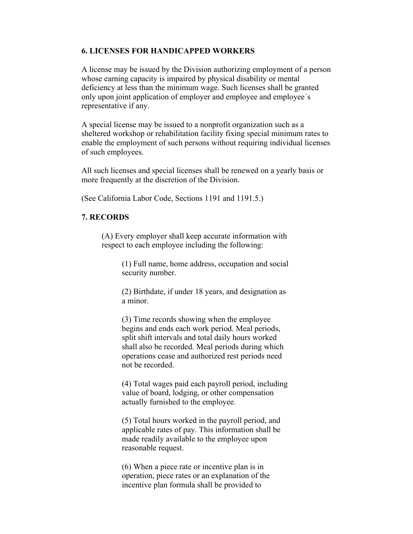# **6. LICENSES FOR HANDICAPPED WORKERS**

A license may be issued by the Division authorizing employment of a person whose earning capacity is impaired by physical disability or mental deficiency at less than the minimum wage. Such licenses shall be granted only upon joint application of employer and employee and employee´s representative if any.

A special license may be issued to a nonprofit organization such as a sheltered workshop or rehabilitation facility fixing special minimum rates to enable the employment of such persons without requiring individual licenses of such employees.

All such licenses and special licenses shall be renewed on a yearly basis or more frequently at the discretion of the Division.

(See California Labor Code, Sections 1191 and 1191.5.)

## **7. RECORDS**

(A) Every employer shall keep accurate information with respect to each employee including the following:

> (1) Full name, home address, occupation and social security number.

(2) Birthdate, if under 18 years, and designation as a minor.

(3) Time records showing when the employee begins and ends each work period. Meal periods, split shift intervals and total daily hours worked shall also be recorded. Meal periods during which operations cease and authorized rest periods need not be recorded.

(4) Total wages paid each payroll period, including value of board, lodging, or other compensation actually furnished to the employee.

(5) Total hours worked in the payroll period, and applicable rates of pay. This information shall be made readily available to the employee upon reasonable request.

(6) When a piece rate or incentive plan is in operation, piece rates or an explanation of the incentive plan formula shall be provided to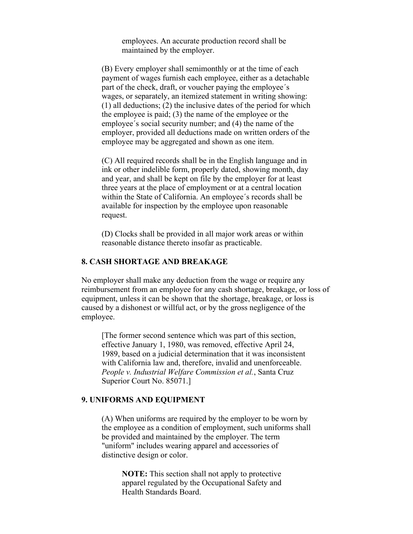employees. An accurate production record shall be maintained by the employer.

(B) Every employer shall semimonthly or at the time of each payment of wages furnish each employee, either as a detachable part of the check, draft, or voucher paying the employee´s wages, or separately, an itemized statement in writing showing: (1) all deductions; (2) the inclusive dates of the period for which the employee is paid; (3) the name of the employee or the employee´s social security number; and (4) the name of the employer, provided all deductions made on written orders of the employee may be aggregated and shown as one item.

(C) All required records shall be in the English language and in ink or other indelible form, properly dated, showing month, day and year, and shall be kept on file by the employer for at least three years at the place of employment or at a central location within the State of California. An employee´s records shall be available for inspection by the employee upon reasonable request.

(D) Clocks shall be provided in all major work areas or within reasonable distance thereto insofar as practicable.

#### **8. CASH SHORTAGE AND BREAKAGE**

No employer shall make any deduction from the wage or require any reimbursement from an employee for any cash shortage, breakage, or loss of equipment, unless it can be shown that the shortage, breakage, or loss is caused by a dishonest or willful act, or by the gross negligence of the employee.

[The former second sentence which was part of this section, effective January 1, 1980, was removed, effective April 24, 1989, based on a judicial determination that it was inconsistent with California law and, therefore, invalid and unenforceable. *People v. Industrial Welfare Commission et al.*, Santa Cruz Superior Court No. 85071.]

## **9. UNIFORMS AND EQUIPMENT**

(A) When uniforms are required by the employer to be worn by the employee as a condition of employment, such uniforms shall be provided and maintained by the employer. The term "uniform" includes wearing apparel and accessories of distinctive design or color.

**NOTE:** This section shall not apply to protective apparel regulated by the Occupational Safety and Health Standards Board.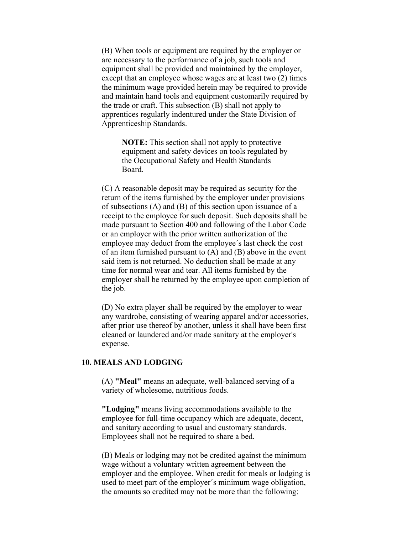(B) When tools or equipment are required by the employer or are necessary to the performance of a job, such tools and equipment shall be provided and maintained by the employer, except that an employee whose wages are at least two (2) times the minimum wage provided herein may be required to provide and maintain hand tools and equipment customarily required by the trade or craft. This subsection (B) shall not apply to apprentices regularly indentured under the State Division of Apprenticeship Standards.

**NOTE:** This section shall not apply to protective equipment and safety devices on tools regulated by the Occupational Safety and Health Standards Board.

(C) A reasonable deposit may be required as security for the return of the items furnished by the employer under provisions of subsections (A) and (B) of this section upon issuance of a receipt to the employee for such deposit. Such deposits shall be made pursuant to Section 400 and following of the Labor Code or an employer with the prior written authorization of the employee may deduct from the employee´s last check the cost of an item furnished pursuant to (A) and (B) above in the event said item is not returned. No deduction shall be made at any time for normal wear and tear. All items furnished by the employer shall be returned by the employee upon completion of the job.

(D) No extra player shall be required by the employer to wear any wardrobe, consisting of wearing apparel and/or accessories, after prior use thereof by another, unless it shall have been first cleaned or laundered and/or made sanitary at the employer's expense.

#### **10. MEALS AND LODGING**

(A) **"Meal"** means an adequate, well-balanced serving of a variety of wholesome, nutritious foods.

**"Lodging"** means living accommodations available to the employee for full-time occupancy which are adequate, decent, and sanitary according to usual and customary standards. Employees shall not be required to share a bed.

(B) Meals or lodging may not be credited against the minimum wage without a voluntary written agreement between the employer and the employee. When credit for meals or lodging is used to meet part of the employer´s minimum wage obligation, the amounts so credited may not be more than the following: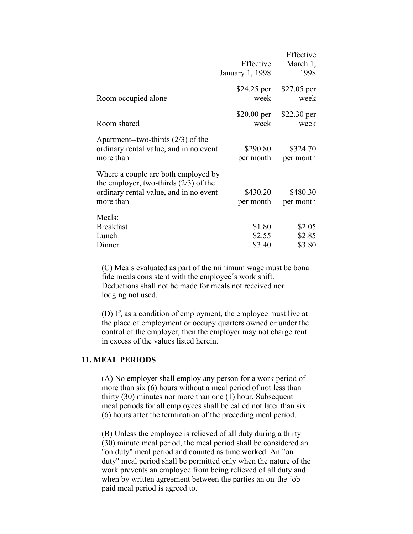| Effective<br>January 1, 1998                                                              | Effective<br>March 1,<br>1998                                         |
|-------------------------------------------------------------------------------------------|-----------------------------------------------------------------------|
|                                                                                           | \$27.05 per<br>week                                                   |
|                                                                                           | $$22.30$ per<br>week                                                  |
| ordinary rental value, and in no event<br>\$290.80                                        | \$324.70<br>per month                                                 |
| Where a couple are both employed by<br>ordinary rental value, and in no event<br>\$430.20 | \$480.30<br>per month                                                 |
| \$1.80<br>\$2.55<br>\$3.40                                                                | \$2.05<br>\$2.85<br>\$3.80                                            |
|                                                                                           | $$24.25$ per<br>week<br>\$20.00 per<br>week<br>per month<br>per month |

(C) Meals evaluated as part of the minimum wage must be bona fide meals consistent with the employee´s work shift. Deductions shall not be made for meals not received nor lodging not used.

(D) If, as a condition of employment, the employee must live at the place of employment or occupy quarters owned or under the control of the employer, then the employer may not charge rent in excess of the values listed herein.

#### **11. MEAL PERIODS**

(A) No employer shall employ any person for a work period of more than six (6) hours without a meal period of not less than thirty (30) minutes nor more than one (1) hour. Subsequent meal periods for all employees shall be called not later than six (6) hours after the termination of the preceding meal period.

(B) Unless the employee is relieved of all duty during a thirty (30) minute meal period, the meal period shall be considered an "on duty" meal period and counted as time worked. An "on duty" meal period shall be permitted only when the nature of the work prevents an employee from being relieved of all duty and when by written agreement between the parties an on-the-job paid meal period is agreed to.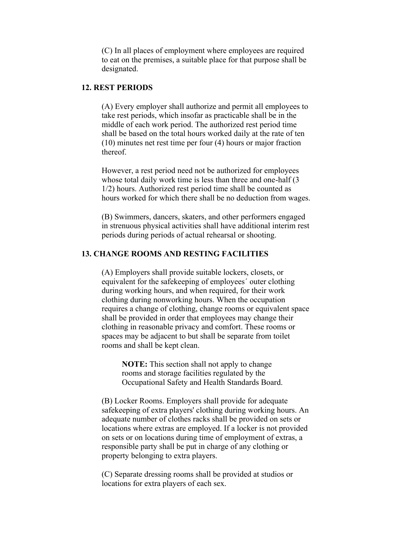(C) In all places of employment where employees are required to eat on the premises, a suitable place for that purpose shall be designated.

#### **12. REST PERIODS**

(A) Every employer shall authorize and permit all employees to take rest periods, which insofar as practicable shall be in the middle of each work period. The authorized rest period time shall be based on the total hours worked daily at the rate of ten (10) minutes net rest time per four (4) hours or major fraction thereof.

However, a rest period need not be authorized for employees whose total daily work time is less than three and one-half (3) 1/2) hours. Authorized rest period time shall be counted as hours worked for which there shall be no deduction from wages.

(B) Swimmers, dancers, skaters, and other performers engaged in strenuous physical activities shall have additional interim rest periods during periods of actual rehearsal or shooting.

# **13. CHANGE ROOMS AND RESTING FACILITIES**

(A) Employers shall provide suitable lockers, closets, or equivalent for the safekeeping of employees´ outer clothing during working hours, and when required, for their work clothing during nonworking hours. When the occupation requires a change of clothing, change rooms or equivalent space shall be provided in order that employees may change their clothing in reasonable privacy and comfort. These rooms or spaces may be adjacent to but shall be separate from toilet rooms and shall be kept clean.

**NOTE:** This section shall not apply to change rooms and storage facilities regulated by the Occupational Safety and Health Standards Board.

(B) Locker Rooms. Employers shall provide for adequate safekeeping of extra players' clothing during working hours. An adequate number of clothes racks shall be provided on sets or locations where extras are employed. If a locker is not provided on sets or on locations during time of employment of extras, a responsible party shall be put in charge of any clothing or property belonging to extra players.

(C) Separate dressing rooms shall be provided at studios or locations for extra players of each sex.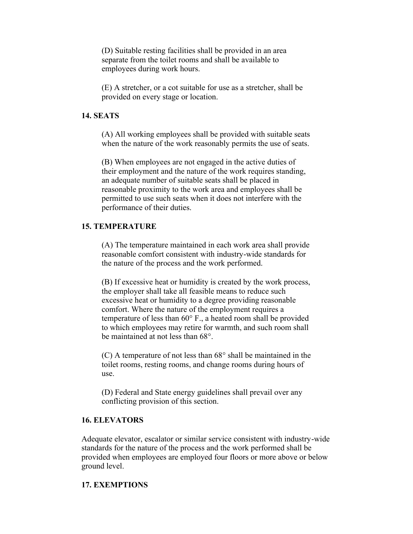(D) Suitable resting facilities shall be provided in an area separate from the toilet rooms and shall be available to employees during work hours.

(E) A stretcher, or a cot suitable for use as a stretcher, shall be provided on every stage or location.

# **14. SEATS**

(A) All working employees shall be provided with suitable seats when the nature of the work reasonably permits the use of seats.

(B) When employees are not engaged in the active duties of their employment and the nature of the work requires standing, an adequate number of suitable seats shall be placed in reasonable proximity to the work area and employees shall be permitted to use such seats when it does not interfere with the performance of their duties.

# **15. TEMPERATURE**

(A) The temperature maintained in each work area shall provide reasonable comfort consistent with industry-wide standards for the nature of the process and the work performed.

(B) If excessive heat or humidity is created by the work process, the employer shall take all feasible means to reduce such excessive heat or humidity to a degree providing reasonable comfort. Where the nature of the employment requires a temperature of less than 60° F., a heated room shall be provided to which employees may retire for warmth, and such room shall be maintained at not less than 68°.

(C) A temperature of not less than 68° shall be maintained in the toilet rooms, resting rooms, and change rooms during hours of use.

(D) Federal and State energy guidelines shall prevail over any conflicting provision of this section.

# **16. ELEVATORS**

Adequate elevator, escalator or similar service consistent with industry-wide standards for the nature of the process and the work performed shall be provided when employees are employed four floors or more above or below ground level.

#### **17. EXEMPTIONS**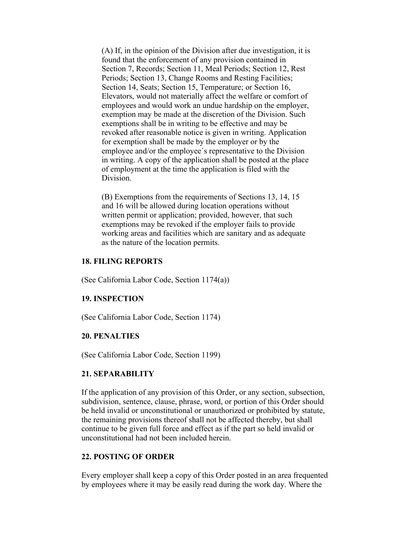(A) If, in the opinion of the Division after due investigation, it is found that the enforcement of any provision contained in Section 7, Records; Section 11, Meal Periods; Section 12, Rest Periods; Section 13, Change Rooms and Resting Facilities; Section 14, Seats; Section 15, Temperature; or Section 16, Elevators, would not materially affect the welfare or comfort of employees and would work an undue hardship on the employer, exemption may be made at the discretion of the Division. Such exemptions shall be in writing to be effective and may be revoked after reasonable notice is given in writing. Application for exemption shall be made by the employer or by the employee and/or the employee´s representative to the Division in writing. A copy of the application shall be posted at the place of employment at the time the application is filed with the Division.

(B) Exemptions from the requirements of Sections 13, 14, 15 and 16 will be allowed during location operations without written permit or application; provided, however, that such exemptions may be revoked if the employer fails to provide working areas and facilities which are sanitary and as adequate as the nature of the location permits.

# **18. FILING REPORTS**

(See California Labor Code, Section 1174(a))

# **19. INSPECTION**

(See California Labor Code, Section 1174)

## **20. PENALTIES**

(See California Labor Code, Section 1199)

#### **21. SEPARABILITY**

If the application of any provision of this Order, or any section, subsection, subdivision, sentence, clause, phrase, word, or portion of this Order should be held invalid or unconstitutional or unauthorized or prohibited by statute, the remaining provisions thereof shall not be affected thereby, but shall continue to be given full force and effect as if the part so held invalid or unconstitutional had not been included herein.

# **22. POSTING OF ORDER**

Every employer shall keep a copy of this Order posted in an area frequented by employees where it may be easily read during the work day. Where the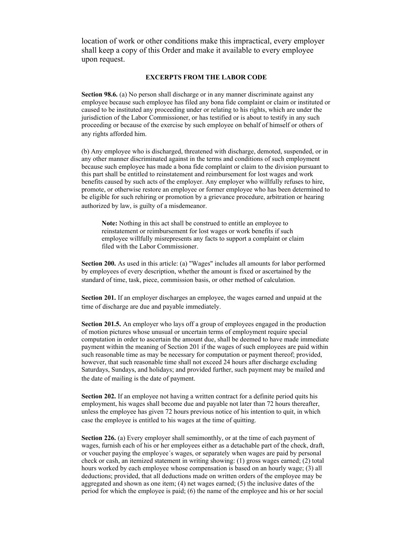location of work or other conditions make this impractical, every employer shall keep a copy of this Order and make it available to every employee upon request.

#### **EXCERPTS FROM THE LABOR CODE**

**Section 98.6.** (a) No person shall discharge or in any manner discriminate against any employee because such employee has filed any bona fide complaint or claim or instituted or caused to be instituted any proceeding under or relating to his rights, which are under the jurisdiction of the Labor Commissioner, or has testified or is about to testify in any such proceeding or because of the exercise by such employee on behalf of himself or others of any rights afforded him.

(b) Any employee who is discharged, threatened with discharge, demoted, suspended, or in any other manner discriminated against in the terms and conditions of such employment because such employee has made a bona fide complaint or claim to the division pursuant to this part shall be entitled to reinstatement and reimbursement for lost wages and work benefits caused by such acts of the employer. Any employer who willfully refuses to hire, promote, or otherwise restore an employee or former employee who has been determined to be eligible for such rehiring or promotion by a grievance procedure, arbitration or hearing authorized by law, is guilty of a misdemeanor.

**Note:** Nothing in this act shall be construed to entitle an employee to reinstatement or reimbursement for lost wages or work benefits if such employee willfully misrepresents any facts to support a complaint or claim filed with the Labor Commissioner.

**Section 200.** As used in this article: (a) "Wages" includes all amounts for labor performed by employees of every description, whether the amount is fixed or ascertained by the standard of time, task, piece, commission basis, or other method of calculation.

**Section 201.** If an employer discharges an employee, the wages earned and unpaid at the time of discharge are due and payable immediately.

**Section 201.5.** An employer who lays off a group of employees engaged in the production of motion pictures whose unusual or uncertain terms of employment require special computation in order to ascertain the amount due, shall be deemed to have made immediate payment within the meaning of Section 201 if the wages of such employees are paid within such reasonable time as may be necessary for computation or payment thereof; provided, however, that such reasonable time shall not exceed 24 hours after discharge excluding Saturdays, Sundays, and holidays; and provided further, such payment may be mailed and the date of mailing is the date of payment.

**Section 202.** If an employee not having a written contract for a definite period quits his employment, his wages shall become due and payable not later than 72 hours thereafter, unless the employee has given 72 hours previous notice of his intention to quit, in which case the employee is entitled to his wages at the time of quitting.

**Section 226.** (a) Every employer shall semimonthly, or at the time of each payment of wages, furnish each of his or her employees either as a detachable part of the check, draft, or voucher paying the employee´s wages, or separately when wages are paid by personal check or cash, an itemized statement in writing showing: (1) gross wages earned; (2) total hours worked by each employee whose compensation is based on an hourly wage; (3) all deductions; provided, that all deductions made on written orders of the employee may be aggregated and shown as one item; (4) net wages earned; (5) the inclusive dates of the period for which the employee is paid; (6) the name of the employee and his or her social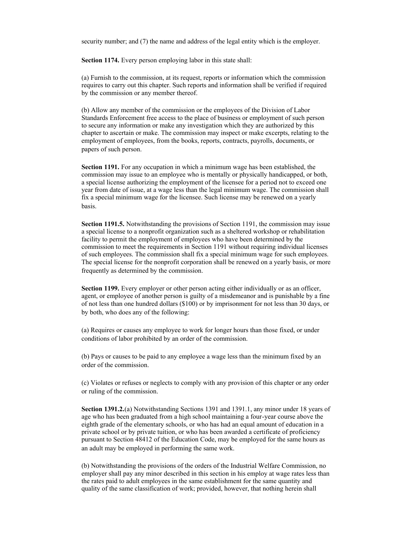security number; and (7) the name and address of the legal entity which is the employer.

**Section 1174.** Every person employing labor in this state shall:

(a) Furnish to the commission, at its request, reports or information which the commission requires to carry out this chapter. Such reports and information shall be verified if required by the commission or any member thereof.

(b) Allow any member of the commission or the employees of the Division of Labor Standards Enforcement free access to the place of business or employment of such person to secure any information or make any investigation which they are authorized by this chapter to ascertain or make. The commission may inspect or make excerpts, relating to the employment of employees, from the books, reports, contracts, payrolls, documents, or papers of such person.

**Section 1191.** For any occupation in which a minimum wage has been established, the commission may issue to an employee who is mentally or physically handicapped, or both, a special license authorizing the employment of the licensee for a period not to exceed one year from date of issue, at a wage less than the legal minimum wage. The commission shall fix a special minimum wage for the licensee. Such license may be renewed on a yearly basis.

**Section 1191.5.** Notwithstanding the provisions of Section 1191, the commission may issue a special license to a nonprofit organization such as a sheltered workshop or rehabilitation facility to permit the employment of employees who have been determined by the commission to meet the requirements in Section 1191 without requiring individual licenses of such employees. The commission shall fix a special minimum wage for such employees. The special license for the nonprofit corporation shall be renewed on a yearly basis, or more frequently as determined by the commission.

**Section 1199.** Every employer or other person acting either individually or as an officer, agent, or employee of another person is guilty of a misdemeanor and is punishable by a fine of not less than one hundred dollars (\$100) or by imprisonment for not less than 30 days, or by both, who does any of the following:

(a) Requires or causes any employee to work for longer hours than those fixed, or under conditions of labor prohibited by an order of the commission.

(b) Pays or causes to be paid to any employee a wage less than the minimum fixed by an order of the commission.

(c) Violates or refuses or neglects to comply with any provision of this chapter or any order or ruling of the commission.

**Section 1391.2.**(a) Notwithstanding Sections 1391 and 1391.1, any minor under 18 years of age who has been graduated from a high school maintaining a four-year course above the eighth grade of the elementary schools, or who has had an equal amount of education in a private school or by private tuition, or who has been awarded a certificate of proficiency pursuant to Section 48412 of the Education Code, may be employed for the same hours as an adult may be employed in performing the same work.

(b) Notwithstanding the provisions of the orders of the Industrial Welfare Commission, no employer shall pay any minor described in this section in his employ at wage rates less than the rates paid to adult employees in the same establishment for the same quantity and quality of the same classification of work; provided, however, that nothing herein shall